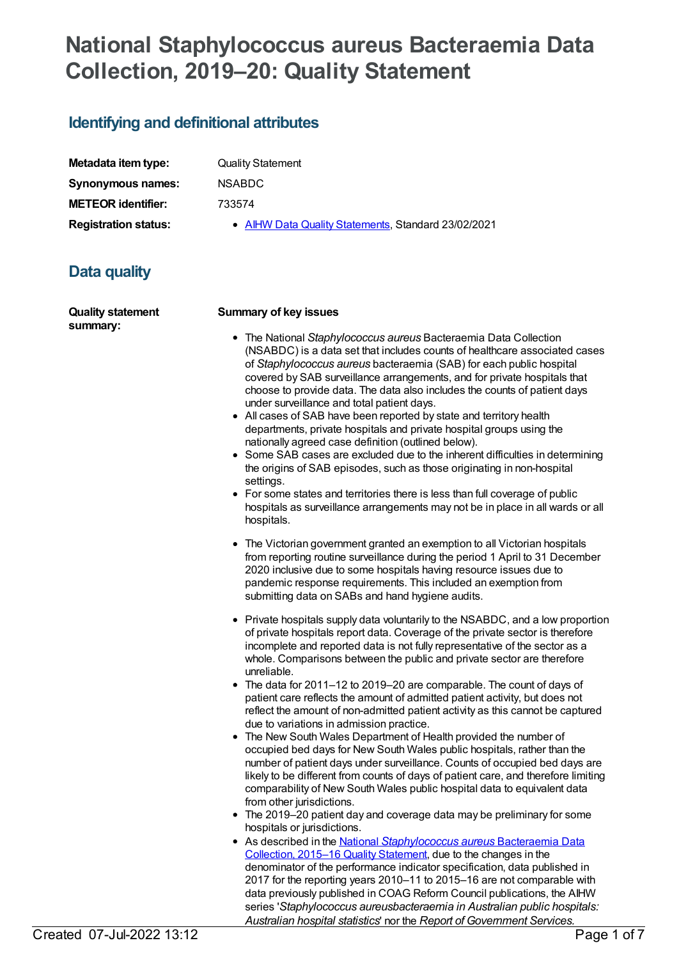# **National Staphylococcus aureus Bacteraemia Data Collection, 2019–20: Quality Statement**

# **Identifying and definitional attributes**

| Metadata item type:         |
|-----------------------------|
| <b>Synonymous names:</b>    |
| <b>METEOR identifier:</b>   |
| <b>Registration status:</b> |

**Quality Statement** 

**Synonymous names:** NSABDC

**METEOR identifier:** 733574

**• AIHW Data Quality [Statements](https://meteor.aihw.gov.au/RegistrationAuthority/5), Standard 23/02/2021** 

# **Data quality**

| <b>Quality statement</b><br>summary: | <b>Summary of key issues</b>                                                                                                                                                                                                                                                                                                                                                                                                                                                                                                                                                                                                                                                                                                                                                                                                                                                                                                                                                                          |
|--------------------------------------|-------------------------------------------------------------------------------------------------------------------------------------------------------------------------------------------------------------------------------------------------------------------------------------------------------------------------------------------------------------------------------------------------------------------------------------------------------------------------------------------------------------------------------------------------------------------------------------------------------------------------------------------------------------------------------------------------------------------------------------------------------------------------------------------------------------------------------------------------------------------------------------------------------------------------------------------------------------------------------------------------------|
|                                      | • The National Staphylococcus aureus Bacteraemia Data Collection<br>(NSABDC) is a data set that includes counts of healthcare associated cases<br>of Staphylococcus aureus bacteraemia (SAB) for each public hospital<br>covered by SAB surveillance arrangements, and for private hospitals that<br>choose to provide data. The data also includes the counts of patient days<br>under surveillance and total patient days.<br>• All cases of SAB have been reported by state and territory health<br>departments, private hospitals and private hospital groups using the<br>nationally agreed case definition (outlined below).<br>Some SAB cases are excluded due to the inherent difficulties in determining<br>$\bullet$<br>the origins of SAB episodes, such as those originating in non-hospital<br>settings.<br>• For some states and territories there is less than full coverage of public<br>hospitals as surveillance arrangements may not be in place in all wards or all<br>hospitals. |
|                                      | • The Victorian government granted an exemption to all Victorian hospitals<br>from reporting routine surveillance during the period 1 April to 31 December<br>2020 inclusive due to some hospitals having resource issues due to<br>pandemic response requirements. This included an exemption from<br>submitting data on SABs and hand hygiene audits.                                                                                                                                                                                                                                                                                                                                                                                                                                                                                                                                                                                                                                               |
|                                      | • Private hospitals supply data voluntarily to the NSABDC, and a low proportion<br>of private hospitals report data. Coverage of the private sector is therefore<br>incomplete and reported data is not fully representative of the sector as a<br>whole. Comparisons between the public and private sector are therefore<br>unreliable.<br>The data for 2011-12 to 2019-20 are comparable. The count of days of<br>$\bullet$                                                                                                                                                                                                                                                                                                                                                                                                                                                                                                                                                                         |
|                                      | patient care reflects the amount of admitted patient activity, but does not<br>reflect the amount of non-admitted patient activity as this cannot be captured                                                                                                                                                                                                                                                                                                                                                                                                                                                                                                                                                                                                                                                                                                                                                                                                                                         |

- due to variations in admission practice. The New South Wales Department of Health provided the number of occupied bed days for New South Wales public hospitals, rather than the number of patient days under surveillance. Counts of occupied bed days are likely to be different from counts of days of patient care, and therefore limiting comparability of New South Wales public hospital data to equivalent data from other jurisdictions.
- The 2019–20 patient day and coverage data may be preliminary for some hospitals or jurisdictions.
- As described in the National *[Staphylococcus](file:///content/663249) aureus* Bacteraemia Data Collection, 2015–16 Quality Statement, due to the changes in the denominator of the performance indicator specification, data published in 2017 for the reporting years 2010–11 to 2015–16 are not comparable with data previously published in COAG Reform Council publications, the AIHW series '*Staphylococcus aureusbacteraemia in Australian public hospitals: Australian hospital statistics*' nor the *Report of Government Services.*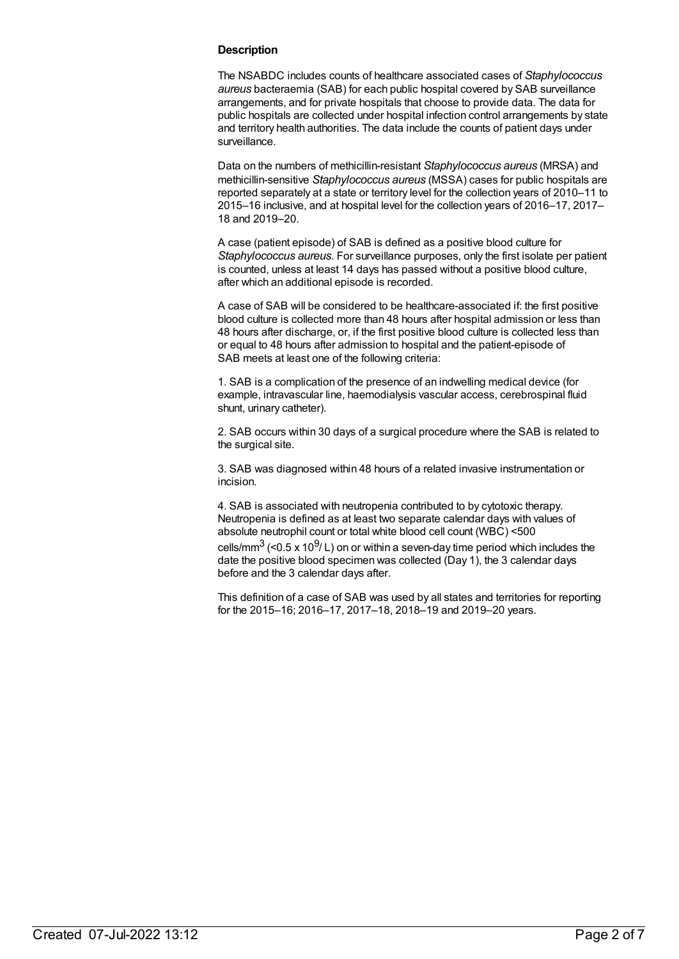#### **Description**

The NSABDC includes counts of healthcare associated cases of *Staphylococcus aureus* bacteraemia (SAB) for each public hospital covered by SAB surveillance arrangements, and for private hospitals that choose to provide data. The data for public hospitals are collected under hospital infection control arrangements by state and territory health authorities. The data include the counts of patient days under surveillance.

Data on the numbers of methicillin-resistant *Staphylococcus aureus* (MRSA) and methicillin-sensitive *Staphylococcus aureus* (MSSA) cases for public hospitals are reported separately at a state or territory level for the collection years of 2010–11 to 2015–16 inclusive, and at hospital level for the collection years of 2016–17, 2017– 18 and 2019–20.

A case (patient episode) of SAB is defined as a positive blood culture for *Staphylococcus aureus*. For surveillance purposes, only the first isolate per patient is counted, unless at least 14 days has passed without a positive blood culture, after which an additional episode is recorded.

A case of SAB will be considered to be healthcare-associated if: the first positive blood culture is collected more than 48 hours after hospital admission or less than 48 hours after discharge, or, if the first positive blood culture is collected less than or equal to 48 hours after admission to hospital and the patient-episode of SAB meets at least one of the following criteria:

1. SAB is a complication of the presence of an indwelling medical device (for example, intravascular line, haemodialysis vascular access, cerebrospinal fluid shunt, urinary catheter).

2. SAB occurs within 30 days of a surgical procedure where the SAB is related to the surgical site.

3. SAB was diagnosed within 48 hours of a related invasive instrumentation or incision.

4. SAB is associated with neutropenia contributed to by cytotoxic therapy. Neutropenia is defined as at least two separate calendar days with values of absolute neutrophil count or total white blood cell count (WBC) <500 cells/mm $^3$  (<0.5 x 10 $^9$ / L) on or within a seven-day time period which includes the

date the positive blood specimen was collected (Day 1), the 3 calendar days before and the 3 calendar days after.

This definition of a case of SAB was used by all states and territories for reporting for the 2015–16; 2016–17, 2017–18, 2018–19 and 2019–20 years.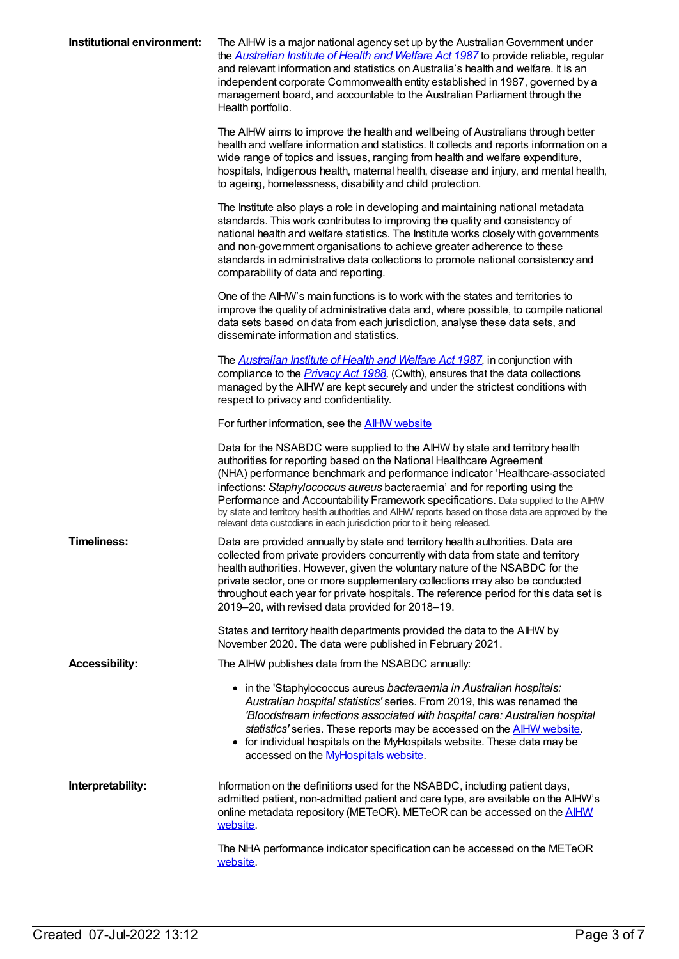| Institutional environment: | The AIHW is a major national agency set up by the Australian Government under<br>the Australian Institute of Health and Welfare Act 1987 to provide reliable, regular<br>and relevant information and statistics on Australia's health and welfare. It is an<br>independent corporate Commonwealth entity established in 1987, governed by a<br>management board, and accountable to the Australian Parliament through the<br>Health portfolio.                                                                                                                                            |
|----------------------------|--------------------------------------------------------------------------------------------------------------------------------------------------------------------------------------------------------------------------------------------------------------------------------------------------------------------------------------------------------------------------------------------------------------------------------------------------------------------------------------------------------------------------------------------------------------------------------------------|
|                            | The AIHW aims to improve the health and wellbeing of Australians through better<br>health and welfare information and statistics. It collects and reports information on a<br>wide range of topics and issues, ranging from health and welfare expenditure,<br>hospitals, Indigenous health, maternal health, disease and injury, and mental health,<br>to ageing, homelessness, disability and child protection.                                                                                                                                                                          |
|                            | The Institute also plays a role in developing and maintaining national metadata<br>standards. This work contributes to improving the quality and consistency of<br>national health and welfare statistics. The Institute works closely with governments<br>and non-government organisations to achieve greater adherence to these<br>standards in administrative data collections to promote national consistency and<br>comparability of data and reporting.                                                                                                                              |
|                            | One of the AIHW's main functions is to work with the states and territories to<br>improve the quality of administrative data and, where possible, to compile national<br>data sets based on data from each jurisdiction, analyse these data sets, and<br>disseminate information and statistics.                                                                                                                                                                                                                                                                                           |
|                            | The <b>Australian Institute of Health and Welfare Act 1987</b> , in conjunction with<br>compliance to the <i>Privacy Act 1988</i> , (Cwlth), ensures that the data collections<br>managed by the AIHW are kept securely and under the strictest conditions with<br>respect to privacy and confidentiality.                                                                                                                                                                                                                                                                                 |
|                            | For further information, see the <b>AIHW</b> website                                                                                                                                                                                                                                                                                                                                                                                                                                                                                                                                       |
|                            | Data for the NSABDC were supplied to the AIHW by state and territory health<br>authorities for reporting based on the National Healthcare Agreement<br>(NHA) performance benchmark and performance indicator 'Healthcare-associated<br>infections: Staphylococcus aureus bacteraemia' and for reporting using the<br>Performance and Accountability Framework specifications. Data supplied to the AlHW<br>by state and territory health authorities and AIHW reports based on those data are approved by the<br>relevant data custodians in each jurisdiction prior to it being released. |
| <b>Timeliness:</b>         | Data are provided annually by state and territory health authorities. Data are<br>collected from private providers concurrently with data from state and territory<br>health authorities. However, given the voluntary nature of the NSABDC for the<br>private sector, one or more supplementary collections may also be conducted<br>throughout each year for private hospitals. The reference period for this data set is<br>2019-20, with revised data provided for 2018-19.                                                                                                            |
|                            | States and territory health departments provided the data to the AIHW by<br>November 2020. The data were published in February 2021.                                                                                                                                                                                                                                                                                                                                                                                                                                                       |
| <b>Accessibility:</b>      | The AIHW publishes data from the NSABDC annually:                                                                                                                                                                                                                                                                                                                                                                                                                                                                                                                                          |
|                            | • in the 'Staphylococcus aureus bacteraemia in Australian hospitals:<br>Australian hospital statistics' series. From 2019, this was renamed the<br>'Bloodstream infections associated with hospital care: Australian hospital<br>statistics' series. These reports may be accessed on the <b>AIHW</b> website.<br>• for individual hospitals on the MyHospitals website. These data may be<br>accessed on the <b>MyHospitals website</b> .                                                                                                                                                 |
| Interpretability:          | Information on the definitions used for the NSABDC, including patient days,<br>admitted patient, non-admitted patient and care type, are available on the AIHW's<br>online metadata repository (METeOR). METeOR can be accessed on the <b>AIHW</b><br>website.                                                                                                                                                                                                                                                                                                                             |
|                            | The NHA performance indicator specification can be accessed on the METeOR<br>website.                                                                                                                                                                                                                                                                                                                                                                                                                                                                                                      |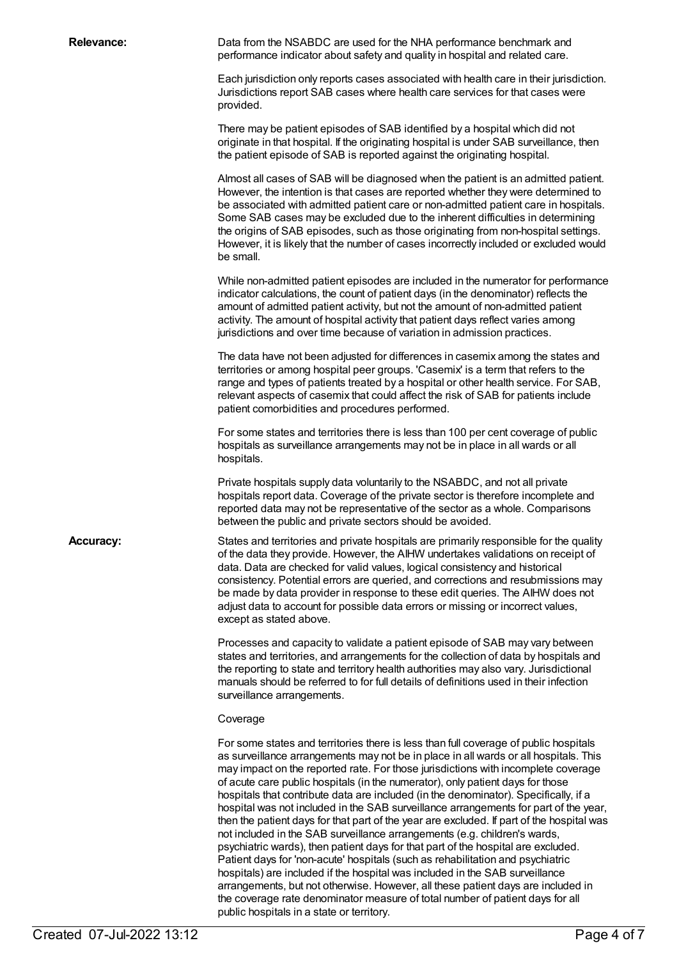**Relevance:** Data from the NSABDC are used for the NHA performance benchmark and performance indicator about safety and quality in hospital and related care.

> Each jurisdiction only reports cases associated with health care in their jurisdiction. Jurisdictions report SAB cases where health care services for that cases were provided.

There may be patient episodes of SAB identified by a hospital which did not originate in that hospital. If the originating hospital is under SAB surveillance, then the patient episode of SAB is reported against the originating hospital.

Almost all cases of SAB will be diagnosed when the patient is an admitted patient. However, the intention is that cases are reported whether they were determined to be associated with admitted patient care or non-admitted patient care in hospitals. Some SAB cases may be excluded due to the inherent difficulties in determining the origins of SAB episodes, such as those originating from non-hospital settings. However, it is likely that the number of cases incorrectly included or excluded would be small.

While non-admitted patient episodes are included in the numerator for performance indicator calculations, the count of patient days (in the denominator) reflects the amount of admitted patient activity, but not the amount of non-admitted patient activity. The amount of hospital activity that patient days reflect varies among jurisdictions and over time because of variation in admission practices.

The data have not been adjusted for differences in casemix among the states and territories or among hospital peer groups. 'Casemix' is a term that refers to the range and types of patients treated by a hospital or other health service. For SAB, relevant aspects of casemix that could affect the risk of SAB for patients include patient comorbidities and procedures performed.

For some states and territories there is less than 100 per cent coverage of public hospitals as surveillance arrangements may not be in place in all wards or all hospitals.

Private hospitals supply data voluntarily to the NSABDC, and not all private hospitals report data. Coverage of the private sector is therefore incomplete and reported data may not be representative of the sector as a whole. Comparisons between the public and private sectors should be avoided.

Accuracy: States and territories and private hospitals are primarily responsible for the quality of the data they provide. However, the AIHW undertakes validations on receipt of data. Data are checked for valid values, logical consistency and historical consistency. Potential errors are queried, and corrections and resubmissions may be made by data provider in response to these edit queries. The AIHW does not adjust data to account for possible data errors or missing or incorrect values, except as stated above.

> Processes and capacity to validate a patient episode of SAB may vary between states and territories, and arrangements for the collection of data by hospitals and the reporting to state and territory health authorities may also vary. Jurisdictional manuals should be referred to for full details of definitions used in their infection surveillance arrangements.

#### Coverage

For some states and territories there is less than full coverage of public hospitals as surveillance arrangements may not be in place in all wards or all hospitals. This may impact on the reported rate. For those jurisdictions with incomplete coverage of acute care public hospitals (in the numerator), only patient days for those hospitals that contribute data are included (in the denominator). Specifically, if a hospital was not included in the SAB surveillance arrangements for part of the year, then the patient days for that part of the year are excluded. If part of the hospital was not included in the SAB surveillance arrangements (e.g. children's wards, psychiatric wards), then patient days for that part of the hospital are excluded. Patient days for 'non-acute' hospitals (such as rehabilitation and psychiatric hospitals) are included if the hospital was included in the SAB surveillance arrangements, but not otherwise. However, all these patient days are included in the coverage rate denominator measure of total number of patient days for all public hospitals in a state or territory.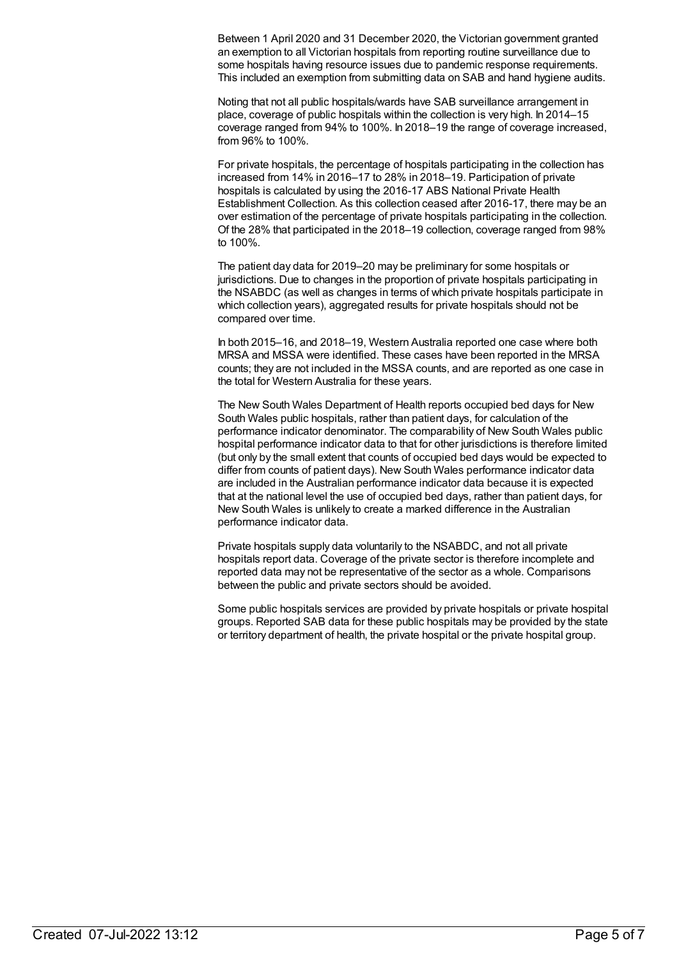Between 1 April 2020 and 31 December 2020, the Victorian government granted an exemption to all Victorian hospitals from reporting routine surveillance due to some hospitals having resource issues due to pandemic response requirements. This included an exemption from submitting data on SAB and hand hygiene audits.

Noting that not all public hospitals/wards have SAB surveillance arrangement in place, coverage of public hospitals within the collection is very high. In 2014–15 coverage ranged from 94% to 100%. In 2018–19 the range of coverage increased, from 96% to 100%.

For private hospitals, the percentage of hospitals participating in the collection has increased from 14% in 2016–17 to 28% in 2018–19. Participation of private hospitals is calculated by using the 2016-17 ABS National Private Health Establishment Collection. As this collection ceased after 2016-17, there may be an over estimation of the percentage of private hospitals participating in the collection. Of the 28% that participated in the 2018–19 collection, coverage ranged from 98% to 100%.

The patient day data for 2019–20 may be preliminary for some hospitals or jurisdictions. Due to changes in the proportion of private hospitals participating in the NSABDC (as well as changes in terms of which private hospitals participate in which collection years), aggregated results for private hospitals should not be compared over time.

In both 2015–16, and 2018–19, Western Australia reported one case where both MRSA and MSSA were identified. These cases have been reported in the MRSA counts; they are not included in the MSSA counts, and are reported as one case in the total for Western Australia for these years.

The New South Wales Department of Health reports occupied bed days for New South Wales public hospitals, rather than patient days, for calculation of the performance indicator denominator. The comparability of New South Wales public hospital performance indicator data to that for other jurisdictions is therefore limited (but only by the small extent that counts of occupied bed days would be expected to differ from counts of patient days). New South Wales performance indicator data are included in the Australian performance indicator data because it is expected that at the national level the use of occupied bed days, rather than patient days, for New South Wales is unlikely to create a marked difference in the Australian performance indicator data.

Private hospitals supply data voluntarily to the NSABDC, and not all private hospitals report data. Coverage of the private sector is therefore incomplete and reported data may not be representative of the sector as a whole. Comparisons between the public and private sectors should be avoided.

Some public hospitals services are provided by private hospitals or private hospital groups. Reported SAB data for these public hospitals may be provided by the state or territory department of health, the private hospital or the private hospital group.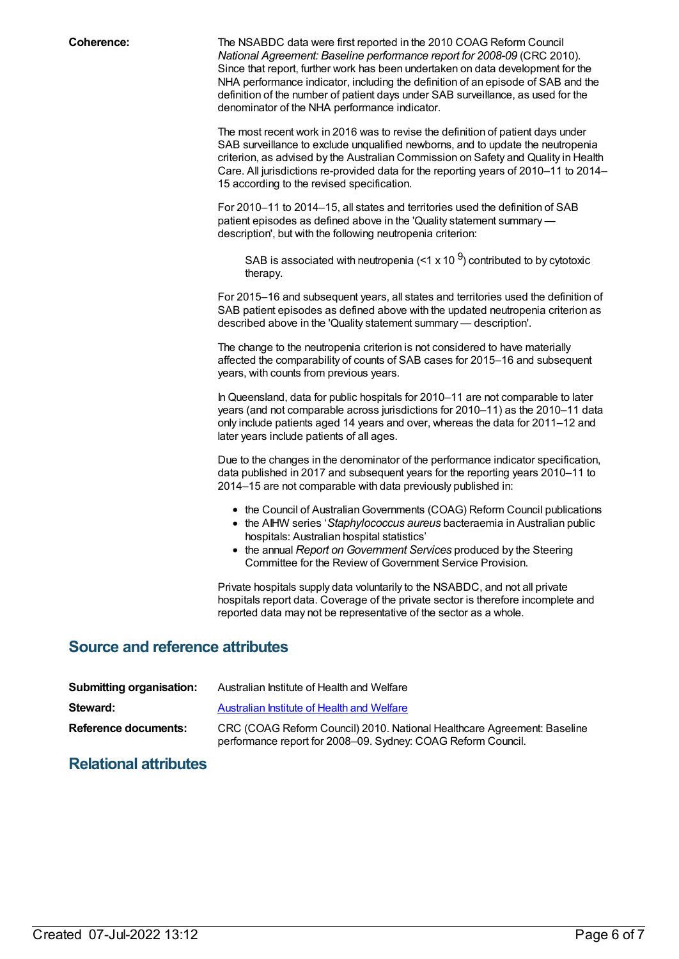**Coherence:** The NSABDC data were first reported in the 2010 COAG Reform Council *National Agreement: Baseline performance report for 2008-09* (CRC 2010). Since that report, further work has been undertaken on data development for the NHA performance indicator, including the definition of an episode of SAB and the definition of the number of patient days under SAB surveillance, as used for the denominator of the NHA performance indicator.

> The most recent work in 2016 was to revise the definition of patient days under SAB surveillance to exclude unqualified newborns, and to update the neutropenia criterion, as advised by the Australian Commission on Safety and Quality in Health Care. All jurisdictions re-provided data for the reporting years of 2010–11 to 2014– 15 according to the revised specification.

For 2010–11 to 2014–15, all states and territories used the definition of SAB patient episodes as defined above in the 'Quality statement summary description', but with the following neutropenia criterion:

SAB is associated with neutropenia (<1 x 10  $^{9}$ ) contributed to by cytotoxic therapy.

For 2015–16 and subsequent years, all states and territories used the definition of SAB patient episodes as defined above with the updated neutropenia criterion as described above in the 'Quality statement summary — description'.

The change to the neutropenia criterion is not considered to have materially affected the comparability of counts of SAB cases for 2015–16 and subsequent years, with counts from previous years.

InQueensland, data for public hospitals for 2010–11 are not comparable to later years (and not comparable across jurisdictions for 2010–11) as the 2010–11 data only include patients aged 14 years and over, whereas the data for 2011–12 and later years include patients of all ages.

Due to the changes in the denominator of the performance indicator specification, data published in 2017 and subsequent years for the reporting years 2010–11 to 2014–15 are not comparable with data previously published in:

- the Council of Australian Governments (COAG) Reform Council publications
- the AIHW series '*Staphylococcus aureus* bacteraemia in Australian public hospitals: Australian hospital statistics'
- the annual *Report on Government Services* produced by the Steering Committee for the Review of Government Service Provision.

Private hospitals supply data voluntarily to the NSABDC, and not all private hospitals report data. Coverage of the private sector is therefore incomplete and reported data may not be representative of the sector as a whole.

### **Source and reference attributes**

| <b>Submitting organisation:</b> | Australian Institute of Health and Welfare                                                                                              |
|---------------------------------|-----------------------------------------------------------------------------------------------------------------------------------------|
| Steward:                        | Australian Institute of Health and Welfare                                                                                              |
| Reference documents:            | CRC (COAG Reform Council) 2010. National Healthcare Agreement: Baseline<br>performance report for 2008–09. Sydney: COAG Reform Council. |

## **Relational attributes**